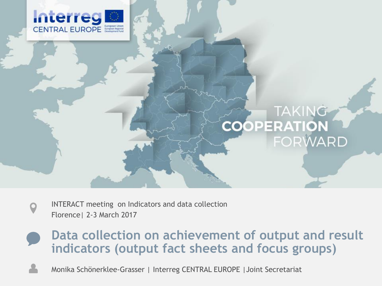

# TAKING COOPERATION

- INTERACT meeting on Indicators and data collection Florence| 2-3 March 2017
- **Data collection on achievement of output and result indicators (output fact sheets and focus groups)**
	- Monika Schönerklee-Grasser | Interreg CENTRAL EUROPE |Joint Secretariat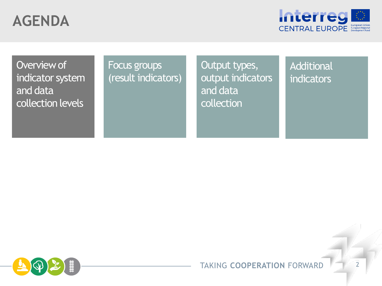

Overview of indicator system and data collection levels

#### Focus groups (result indicators)

Output types, output indicators and data collection

**Additional** indicators

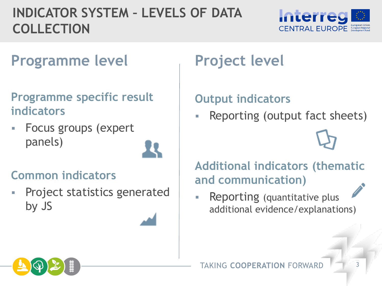#### **INDICATOR SYSTEM – LEVELS OF DATA COLLECTION**



#### **Programme level** Project level

#### **Programme specific result indicators**

 Focus groups (expert panels)

#### **Common indicators**

**Project statistics generated** by JS

#### **Output indicators**

Reporting (output fact sheets)

**Additional indicators (thematic and communication)**

**Reporting (quantitative plus** additional evidence/explanations)

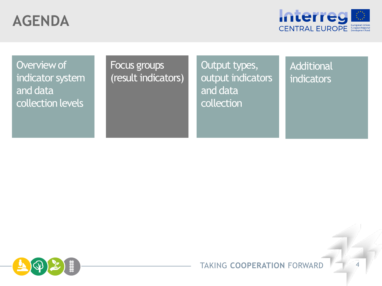

Overview of indicator system and data collection levels

#### Focus groups (result indicators)

Output types, output indicators and data collection

**Additional** indicators



#### **TAKING COOPERATION FORWARD**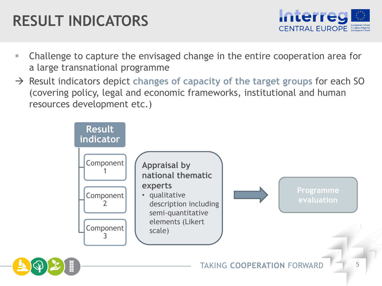# **RESULT INDICATORS**



- Challenge to capture the envisaged change in the entire cooperation area for a large transnational programme
- Result indicators depict **changes of capacity of the target groups** for each SO (covering policy, legal and economic frameworks, institutional and human resources development etc.)

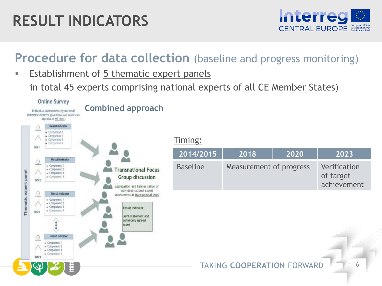# **RESULT INDICATORS**



#### **Procedure for data collection** (baseline and progress monitoring)

 Establishment of 5 thematic expert panels in total 45 experts comprising national experts of all CE Member States)

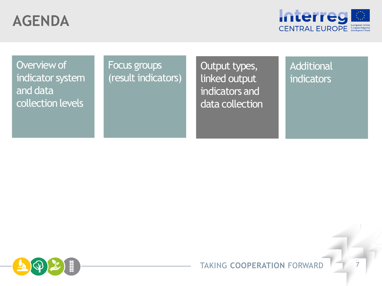

Overview of indicator system and data collection levels

#### Focus groups **COUNGLIAN COULD COULD ENGLISHED Additional** Focus groups (result indicators)

linked output indicators and data collection

# indicators

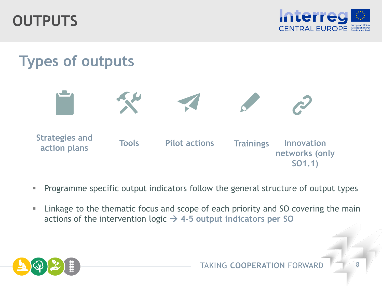**OUTPUTS**



# **Types of outputs**



- **Programme specific output indicators follow the general structure of output types**
- **EXTE:** Linkage to the thematic focus and scope of each priority and SO covering the main actions of the intervention logic  $\rightarrow$  4-5 output indicators per SO

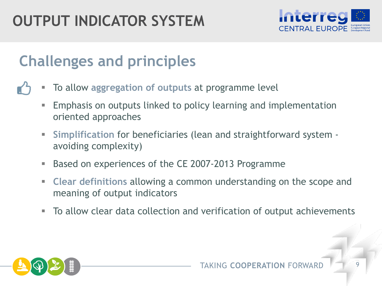# **OUTPUT INDICATOR SYSTEM**



# **Challenges and principles**

- To allow **aggregation of outputs** at programme level
	- Emphasis on outputs linked to policy learning and implementation oriented approaches
	- **Simplification** for beneficiaries (lean and straightforward system avoiding complexity)
	- Based on experiences of the CE 2007-2013 Programme
	- **Clear definitions** allowing a common understanding on the scope and meaning of output indicators
	- To allow clear data collection and verification of output achievements

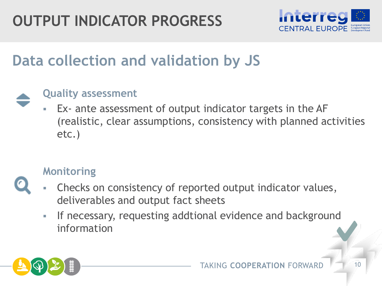

## **Data collection and validation by JS**



#### **Quality assessment**

 Ex- ante assessment of output indicator targets in the AF (realistic, clear assumptions, consistency with planned activities etc.)

#### **Monitoring**

- Checks on consistency of reported output indicator values, deliverables and output fact sheets
	- **If necessary, requesting addtional evidence and background** information

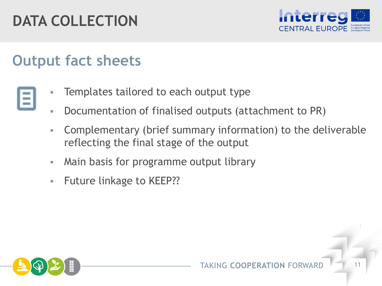# **DATA COLLECTION**



#### **Output fact sheets**

- Templates tailored to each output type
- Documentation of finalised outputs (attachment to PR)
- Complementary (brief summary information) to the deliverable reflecting the final stage of the output
- **Main basis for programme output library**
- Future linkage to KEEP??



and in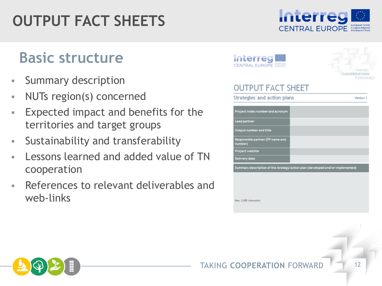# **OUTPUT FACT SHEETS**

#### **Basic structure**

- **Summary description**
- NUTs region(s) concerned
- Expected impact and benefits for the territories and target groups
- **Sustainability and transferability**
- Lessons learned and added value of TN cooperation
- References to relevant deliverables and web-links



Interreg

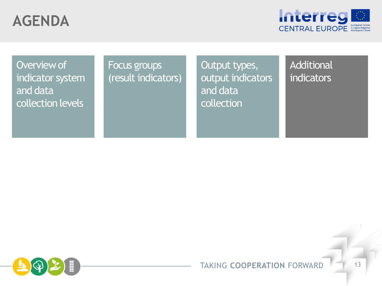

Overview of indicator system and data collection levels

#### Focus groups (result indicators)

Output types, output indicators and data collection

**Additional** indicators

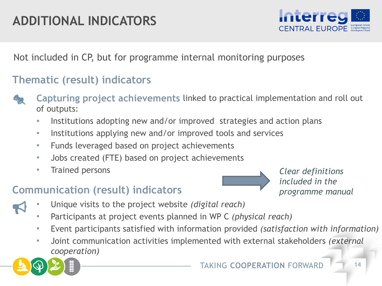#### **ADDITIONAL INDICATORS**



Not included in CP, but for programme internal monitoring purposes

#### **Thematic (result) indicators**

- **Capturing project achievements** linked to practical implementation and roll out of outputs:
- Institutions adopting new and/or improved strategies and action plans
- **Institutions applying new and/or improved tools and services**
- **Funds leveraged based on project achievements**
- Jobs created (FTE) based on project achievements
- **Trained persons**

#### **Communication (result) indicators**



*Clear definitions included in the programme manual*

- Unique visits to the project website *(digital reach)*
	- Participants at project events planned in WP C *(physical reach)*
	- Event participants satisfied with information provided *(satisfaction with information)*
	- Joint communication activities implemented with external stakeholders *(external cooperation)*

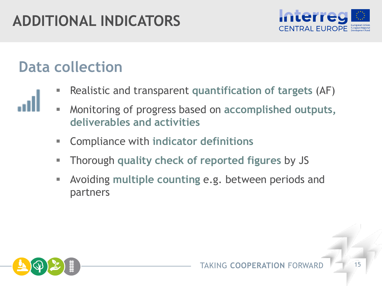# **ADDITIONAL INDICATORS**



## **Data collection**

- Realistic and transparent **quantification of targets** (AF)
- Monitoring of progress based on **accomplished outputs, deliverables and activities**
- Compliance with **indicator definitions**
- Thorough **quality check of reported figures** by JS
- Avoiding **multiple counting** e.g. between periods and partners

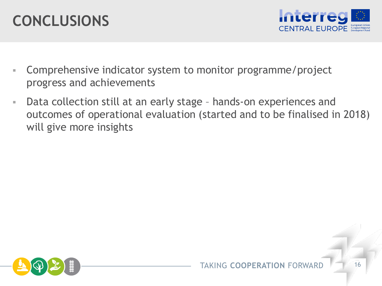# **CONCLUSIONS**



- Comprehensive indicator system to monitor programme/project progress and achievements
- Data collection still at an early stage hands-on experiences and outcomes of operational evaluation (started and to be finalised in 2018) will give more insights